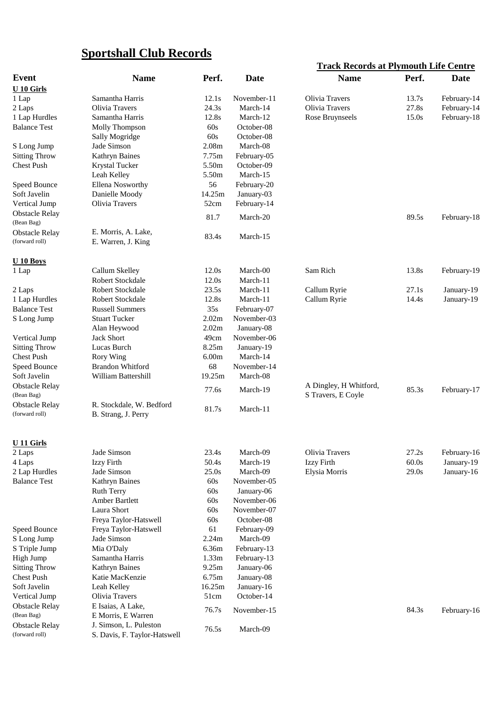## **Sportshall Club Records**

|                                         |                                                        |                   |             | <b>Track Records at Plymouth Life Centre</b> |       |             |  |
|-----------------------------------------|--------------------------------------------------------|-------------------|-------------|----------------------------------------------|-------|-------------|--|
| <b>Event</b>                            | <b>Name</b>                                            | Perf.             | <b>Date</b> | <b>Name</b>                                  | Perf. | Date        |  |
| <b>U</b> 10 Girls                       |                                                        |                   |             |                                              |       |             |  |
| 1 Lap                                   | Samantha Harris                                        | 12.1s             | November-11 | Olivia Travers                               | 13.7s | February-14 |  |
| 2 Laps                                  | Olivia Travers                                         | 24.3s             | March-14    | Olivia Travers                               | 27.8s | February-14 |  |
| 1 Lap Hurdles                           | Samantha Harris                                        | 12.8s             | March-12    | Rose Bruynseels                              | 15.0s | February-18 |  |
| <b>Balance Test</b>                     | Molly Thompson                                         | 60s               | October-08  |                                              |       |             |  |
|                                         | Sally Mogridge                                         | 60s               | October-08  |                                              |       |             |  |
| S Long Jump                             | Jade Simson                                            | 2.08 <sub>m</sub> | March-08    |                                              |       |             |  |
| <b>Sitting Throw</b>                    | Kathryn Baines                                         | 7.75m             | February-05 |                                              |       |             |  |
| <b>Chest Push</b>                       | Krystal Tucker                                         | 5.50m             | October-09  |                                              |       |             |  |
|                                         | Leah Kelley                                            | 5.50m             | March-15    |                                              |       |             |  |
| Speed Bounce                            | Ellena Nosworthy                                       | 56                | February-20 |                                              |       |             |  |
| Soft Javelin                            | Danielle Moody                                         | 14.25m            | January-03  |                                              |       |             |  |
| Vertical Jump                           | Olivia Travers                                         | 52cm              | February-14 |                                              |       |             |  |
| <b>Obstacle Relay</b><br>(Bean Bag)     |                                                        | 81.7              | March-20    |                                              | 89.5s | February-18 |  |
| <b>Obstacle Relay</b>                   | E. Morris, A. Lake,                                    |                   |             |                                              |       |             |  |
| (forward roll)                          | E. Warren, J. King                                     | 83.4s             | March-15    |                                              |       |             |  |
| U <sub>10</sub> Boys                    |                                                        |                   |             |                                              |       |             |  |
| 1 Lap                                   | Callum Skelley                                         | 12.0s             | March-00    | Sam Rich                                     | 13.8s | February-19 |  |
|                                         | Robert Stockdale                                       | 12.0s             | March-11    |                                              |       |             |  |
| 2 Laps                                  | Robert Stockdale                                       | 23.5s             | March-11    | Callum Ryrie                                 | 27.1s | January-19  |  |
| 1 Lap Hurdles                           | Robert Stockdale                                       | 12.8s             | March-11    | Callum Ryrie                                 | 14.4s | January-19  |  |
| <b>Balance Test</b>                     | <b>Russell Summers</b>                                 | 35s               | February-07 |                                              |       |             |  |
| S Long Jump                             | <b>Stuart Tucker</b>                                   | 2.02m             | November-03 |                                              |       |             |  |
|                                         | Alan Heywood                                           | 2.02m             | January-08  |                                              |       |             |  |
| Vertical Jump                           | <b>Jack Short</b>                                      | 49cm              | November-06 |                                              |       |             |  |
| <b>Sitting Throw</b>                    | Lucas Burch                                            | 8.25m             | January-19  |                                              |       |             |  |
| <b>Chest Push</b>                       | <b>Rory Wing</b>                                       | 6.00 <sub>m</sub> | March-14    |                                              |       |             |  |
| Speed Bounce                            | Brandon Whitford                                       | 68                | November-14 |                                              |       |             |  |
| Soft Javelin                            | William Battershill                                    | 19.25m            | March-08    |                                              |       |             |  |
| <b>Obstacle Relay</b>                   |                                                        | 77.6s             | March-19    | A Dingley, H Whitford,                       | 85.3s | February-17 |  |
| (Bean Bag)                              |                                                        |                   |             | S Travers, E Coyle                           |       |             |  |
| <b>Obstacle Relay</b><br>(forward roll) | R. Stockdale, W. Bedford<br>B. Strang, J. Perry        | 81.7s             | March-11    |                                              |       |             |  |
| <b>U11 Girls</b>                        |                                                        |                   |             |                                              |       |             |  |
| 2 Laps                                  | Jade Simson                                            | 23.4s             | March-09    | Olivia Travers                               | 27.2s | February-16 |  |
| 4 Laps                                  | Izzy Firth                                             | 50.4s             | March-19    | Izzy Firth                                   | 60.0s | January-19  |  |
| 2 Lap Hurdles                           | Jade Simson                                            | 25.0s             | March-09    | Elysia Morris                                | 29.0s | January-16  |  |
| <b>Balance Test</b>                     | Kathryn Baines                                         | 60s               | November-05 |                                              |       |             |  |
|                                         | <b>Ruth Terry</b>                                      | 60s               | January-06  |                                              |       |             |  |
|                                         | Amber Bartlett                                         | 60s               | November-06 |                                              |       |             |  |
|                                         | Laura Short                                            | 60s               | November-07 |                                              |       |             |  |
|                                         | Freya Taylor-Hatswell                                  | 60s               | October-08  |                                              |       |             |  |
| Speed Bounce                            | Freya Taylor-Hatswell                                  | 61                | February-09 |                                              |       |             |  |
| S Long Jump                             | Jade Simson                                            | 2.24m             | March-09    |                                              |       |             |  |
| S Triple Jump                           | Mia O'Daly                                             | 6.36m             | February-13 |                                              |       |             |  |
| High Jump                               | Samantha Harris                                        | 1.33m             | February-13 |                                              |       |             |  |
| <b>Sitting Throw</b>                    | Kathryn Baines                                         | 9.25m             | January-06  |                                              |       |             |  |
| <b>Chest Push</b>                       | Katie MacKenzie                                        | 6.75m             | January-08  |                                              |       |             |  |
| Soft Javelin                            | Leah Kelley                                            | 16.25m            | January-16  |                                              |       |             |  |
| Vertical Jump                           | Olivia Travers                                         | 51cm              | October-14  |                                              |       |             |  |
| <b>Obstacle Relay</b>                   | E Isaias, A Lake,                                      | 76.7s             | November-15 |                                              | 84.3s | February-16 |  |
| (Bean Bag)                              | E Morris, E Warren                                     |                   |             |                                              |       |             |  |
| <b>Obstacle Relay</b><br>(forward roll) | J. Simson, L. Puleston<br>S. Davis, F. Taylor-Hatswell | 76.5s             | March-09    |                                              |       |             |  |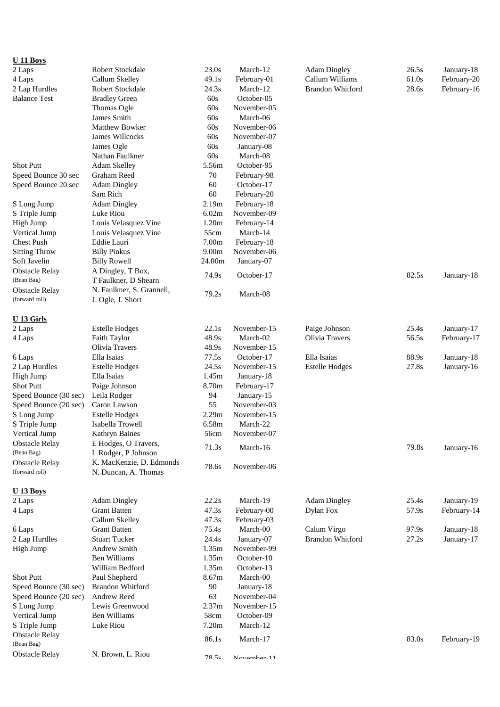| $U$ 11 Boys           |                           |                   |             |                         |       |             |
|-----------------------|---------------------------|-------------------|-------------|-------------------------|-------|-------------|
| 2 Laps                | Robert Stockdale          | 23.0s             | March-12    | <b>Adam Dingley</b>     | 26.5s | January-18  |
| 4 Laps                | Callum Skelley            | 49.1s             | February-01 | Callum Williams         | 61.0s | February-20 |
| 2 Lap Hurdles         | Robert Stockdale          | 24.3s             | March-12    | <b>Brandon Whitford</b> | 28.6s | February-16 |
| <b>Balance Test</b>   | <b>Bradley Green</b>      | 60s               | October-05  |                         |       |             |
|                       | Thomas Ogle               | 60s               | November-05 |                         |       |             |
|                       | James Smith               | 60s               | March-06    |                         |       |             |
|                       | <b>Matthew Bowker</b>     | 60s               | November-06 |                         |       |             |
|                       | James Willcocks           | 60s               | November-07 |                         |       |             |
|                       | James Ogle                | 60s               | January-08  |                         |       |             |
|                       | Nathan Faulkner           | 60s               | March-08    |                         |       |             |
| <b>Shot Putt</b>      | Adam Skelley              | 5.56m             | October-95  |                         |       |             |
| Speed Bounce 30 sec   | <b>Graham Reed</b>        | 70                | February-98 |                         |       |             |
| Speed Bounce 20 sec   | <b>Adam Dingley</b>       | 60                | October-17  |                         |       |             |
|                       | Sam Rich                  | 60                | February-20 |                         |       |             |
| S Long Jump           | <b>Adam Dingley</b>       | 2.19m             | February-18 |                         |       |             |
| S Triple Jump         | Luke Riou                 | 6.02m             | November-09 |                         |       |             |
| High Jump             | Louis Velasquez Vine      | 1.20m             | February-14 |                         |       |             |
| Vertical Jump         | Louis Velasquez Vine      | 55cm              | March-14    |                         |       |             |
| <b>Chest Push</b>     | Eddie Lauri               | 7.00m             | February-18 |                         |       |             |
| <b>Sitting Throw</b>  | <b>Billy Pinkus</b>       | 9.00 <sub>m</sub> | November-06 |                         |       |             |
| Soft Javelin          | <b>Billy Rowell</b>       | 24.00m            | January-07  |                         |       |             |
| <b>Obstacle Relay</b> | A Dingley, T Box,         | 74.9s             | October-17  |                         | 82.5s | January-18  |
| (Bean Bag)            | T Faulkner, D Shearn      |                   |             |                         |       |             |
| <b>Obstacle Relay</b> | N. Faulkner, S. Grannell, | 79.2s             | March-08    |                         |       |             |
| (forward roll)        | J. Ogle, J. Short         |                   |             |                         |       |             |
| U <sub>13</sub> Girls |                           |                   |             |                         |       |             |
| 2 Laps                | <b>Estelle Hodges</b>     | 22.1s             | November-15 | Paige Johnson           | 25.4s | January-17  |
| 4 Laps                | Faith Taylor              | 48.9s             | March-02    | Olivia Travers          | 56.5s | February-17 |
|                       | Olivia Travers            | 48.9s             | November-15 |                         |       |             |
| 6 Laps                | Ella Isaias               | 77.5s             | October-17  | Ella Isaias             | 88.9s | January-18  |
| 2 Lap Hurdles         | <b>Estelle Hodges</b>     | 24.5s             | November-15 | <b>Estelle Hodges</b>   | 27.8s | January-16  |
| High Jump             | Ella Isaias               | 1.45m             | January-18  |                         |       |             |
| <b>Shot Putt</b>      | Paige Johnson             | 8.70m             | February-17 |                         |       |             |
| Speed Bounce (30 sec) | Leila Rodger              | 94                | January-15  |                         |       |             |
| Speed Bounce (20 sec) | Caron Lawson              | 55                | November-03 |                         |       |             |
| S Long Jump           | <b>Estelle Hodges</b>     | 2.29m             | November-15 |                         |       |             |
| S Triple Jump         | Isabella Trowell          | 6.58m             | March-22    |                         |       |             |
| Vertical Jump         | Kathryn Baines            | 56cm              | November-07 |                         |       |             |
| <b>Obstacle Relay</b> | E Hodges, O Travers,      |                   |             |                         |       |             |
| (Bean Bag)            | L Rodger, P Johnson       | 71.3s             | March-16    |                         | 79.8s | January-16  |
| <b>Obstacle Relay</b> | K. MacKenzie, D. Edmonds  |                   |             |                         |       |             |
| (forward roll)        | N. Duncan, A. Thomas      | 78.6s             | November-06 |                         |       |             |
|                       |                           |                   |             |                         |       |             |
| <b>U</b> 13 Boys      |                           |                   |             |                         |       |             |
| 2 Laps                | <b>Adam Dingley</b>       | 22.2s             | March-19    | <b>Adam Dingley</b>     | 25.4s | January-19  |
| 4 Laps                | <b>Grant Batten</b>       | 47.3s             | February-00 | Dylan Fox               | 57.9s | February-14 |
|                       | Callum Skelley            | 47.3s             | February-03 |                         |       |             |
| 6 Laps                | <b>Grant Batten</b>       | 75.4s             | March-00    | Calum Virgo             | 97.9s | January-18  |
| 2 Lap Hurdles         | <b>Stuart Tucker</b>      | 24.4s             | January-07  | Brandon Whitford        | 27.2s | January-17  |
| High Jump             | <b>Andrew Smith</b>       | 1.35m             | November-99 |                         |       |             |
|                       | <b>Ben Williams</b>       | 1.35m             | October-10  |                         |       |             |
|                       | William Bedford           | 1.35m             | October-13  |                         |       |             |
| <b>Shot Putt</b>      | Paul Shepherd             | 8.67m             | March-00    |                         |       |             |
| Speed Bounce (30 sec) | <b>Brandon Whitford</b>   | 90                | January-18  |                         |       |             |
| Speed Bounce (20 sec) | Andrew Reed               | 63                | November-04 |                         |       |             |
| S Long Jump           | Lewis Greenwood           | 2.37m             | November-15 |                         |       |             |
| Vertical Jump         | <b>Ben Williams</b>       | 58cm              | October-09  |                         |       |             |
| S Triple Jump         | Luke Riou                 | 7.20m             | March-12    |                         |       |             |
| <b>Obstacle Relay</b> |                           | 86.1s             |             |                         | 83.0s |             |
| (Bean Bag)            |                           |                   | March-17    |                         |       | February-19 |
| <b>Obstacle Relay</b> | N. Brown, L. Riou         | 78 5c             | November-11 |                         |       |             |
|                       |                           |                   |             |                         |       |             |